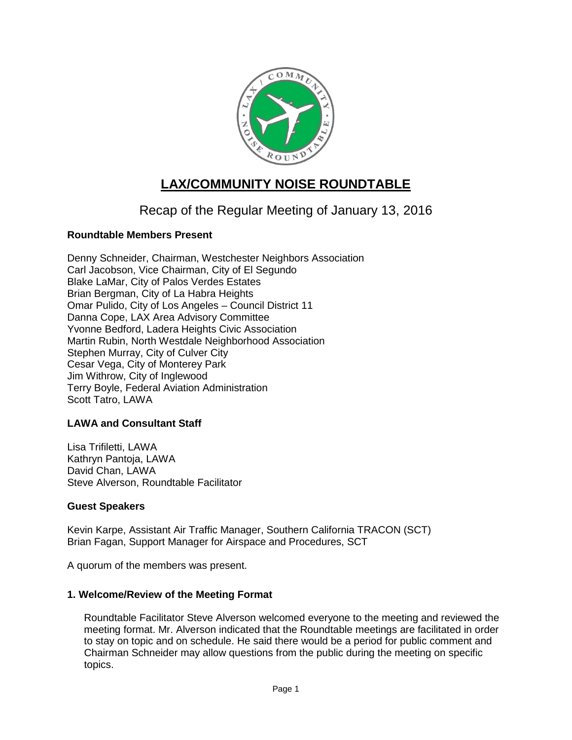

# **LAX/COMMUNITY NOISE ROUNDTABLE**

## Recap of the Regular Meeting of January 13, 2016

## **Roundtable Members Present**

Denny Schneider, Chairman, Westchester Neighbors Association Carl Jacobson, Vice Chairman, City of El Segundo Blake LaMar, City of Palos Verdes Estates Brian Bergman, City of La Habra Heights Omar Pulido, City of Los Angeles – Council District 11 Danna Cope, LAX Area Advisory Committee Yvonne Bedford, Ladera Heights Civic Association Martin Rubin, North Westdale Neighborhood Association Stephen Murray, City of Culver City Cesar Vega, City of Monterey Park Jim Withrow, City of Inglewood Terry Boyle, Federal Aviation Administration Scott Tatro, LAWA

## **LAWA and Consultant Staff**

Lisa Trifiletti, LAWA Kathryn Pantoja, LAWA David Chan, LAWA Steve Alverson, Roundtable Facilitator

## **Guest Speakers**

Kevin Karpe, Assistant Air Traffic Manager, Southern California TRACON (SCT) Brian Fagan, Support Manager for Airspace and Procedures, SCT

A quorum of the members was present.

## **1. Welcome/Review of the Meeting Format**

Roundtable Facilitator Steve Alverson welcomed everyone to the meeting and reviewed the meeting format. Mr. Alverson indicated that the Roundtable meetings are facilitated in order to stay on topic and on schedule. He said there would be a period for public comment and Chairman Schneider may allow questions from the public during the meeting on specific topics.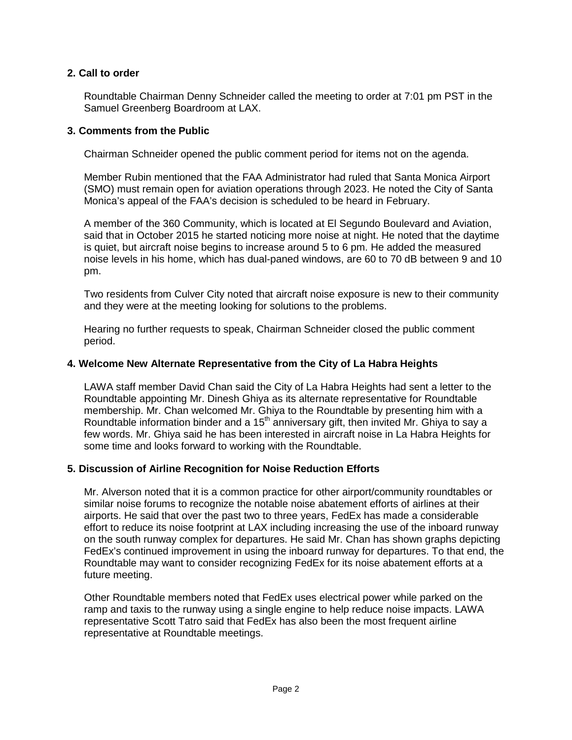## **2. Call to order**

Roundtable Chairman Denny Schneider called the meeting to order at 7:01 pm PST in the Samuel Greenberg Boardroom at LAX.

## **3. Comments from the Public**

Chairman Schneider opened the public comment period for items not on the agenda.

Member Rubin mentioned that the FAA Administrator had ruled that Santa Monica Airport (SMO) must remain open for aviation operations through 2023. He noted the City of Santa Monica's appeal of the FAA's decision is scheduled to be heard in February.

A member of the 360 Community, which is located at El Segundo Boulevard and Aviation, said that in October 2015 he started noticing more noise at night. He noted that the daytime is quiet, but aircraft noise begins to increase around 5 to 6 pm. He added the measured noise levels in his home, which has dual-paned windows, are 60 to 70 dB between 9 and 10 pm.

Two residents from Culver City noted that aircraft noise exposure is new to their community and they were at the meeting looking for solutions to the problems.

Hearing no further requests to speak, Chairman Schneider closed the public comment period.

## **4. Welcome New Alternate Representative from the City of La Habra Heights**

LAWA staff member David Chan said the City of La Habra Heights had sent a letter to the Roundtable appointing Mr. Dinesh Ghiya as its alternate representative for Roundtable membership. Mr. Chan welcomed Mr. Ghiya to the Roundtable by presenting him with a Roundtable information binder and a 15<sup>th</sup> anniversary gift, then invited Mr. Ghiya to say a few words. Mr. Ghiya said he has been interested in aircraft noise in La Habra Heights for some time and looks forward to working with the Roundtable.

## **5. Discussion of Airline Recognition for Noise Reduction Efforts**

Mr. Alverson noted that it is a common practice for other airport/community roundtables or similar noise forums to recognize the notable noise abatement efforts of airlines at their airports. He said that over the past two to three years, FedEx has made a considerable effort to reduce its noise footprint at LAX including increasing the use of the inboard runway on the south runway complex for departures. He said Mr. Chan has shown graphs depicting FedEx's continued improvement in using the inboard runway for departures. To that end, the Roundtable may want to consider recognizing FedEx for its noise abatement efforts at a future meeting.

Other Roundtable members noted that FedEx uses electrical power while parked on the ramp and taxis to the runway using a single engine to help reduce noise impacts. LAWA representative Scott Tatro said that FedEx has also been the most frequent airline representative at Roundtable meetings.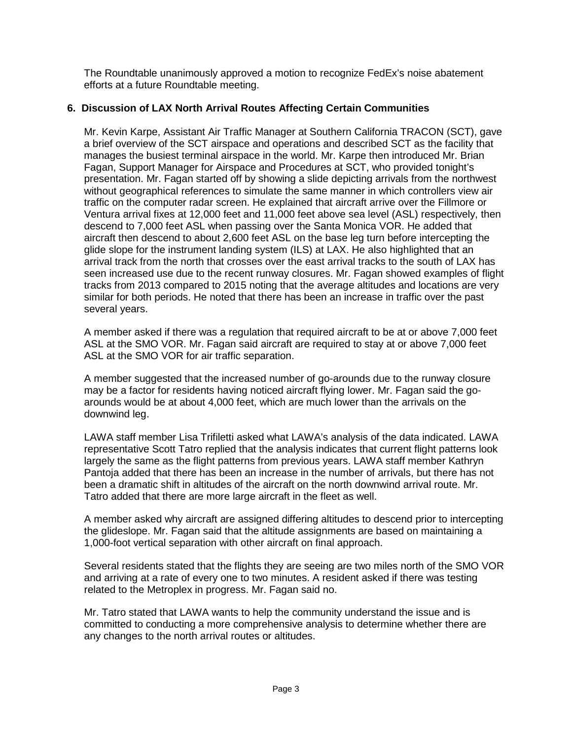The Roundtable unanimously approved a motion to recognize FedEx's noise abatement efforts at a future Roundtable meeting.

## **6. Discussion of LAX North Arrival Routes Affecting Certain Communities**

Mr. Kevin Karpe, Assistant Air Traffic Manager at Southern California TRACON (SCT), gave a brief overview of the SCT airspace and operations and described SCT as the facility that manages the busiest terminal airspace in the world. Mr. Karpe then introduced Mr. Brian Fagan, Support Manager for Airspace and Procedures at SCT, who provided tonight's presentation. Mr. Fagan started off by showing a slide depicting arrivals from the northwest without geographical references to simulate the same manner in which controllers view air traffic on the computer radar screen. He explained that aircraft arrive over the Fillmore or Ventura arrival fixes at 12,000 feet and 11,000 feet above sea level (ASL) respectively, then descend to 7,000 feet ASL when passing over the Santa Monica VOR. He added that aircraft then descend to about 2,600 feet ASL on the base leg turn before intercepting the glide slope for the instrument landing system (ILS) at LAX. He also highlighted that an arrival track from the north that crosses over the east arrival tracks to the south of LAX has seen increased use due to the recent runway closures. Mr. Fagan showed examples of flight tracks from 2013 compared to 2015 noting that the average altitudes and locations are very similar for both periods. He noted that there has been an increase in traffic over the past several years.

A member asked if there was a regulation that required aircraft to be at or above 7,000 feet ASL at the SMO VOR. Mr. Fagan said aircraft are required to stay at or above 7,000 feet ASL at the SMO VOR for air traffic separation.

A member suggested that the increased number of go-arounds due to the runway closure may be a factor for residents having noticed aircraft flying lower. Mr. Fagan said the goarounds would be at about 4,000 feet, which are much lower than the arrivals on the downwind leg.

LAWA staff member Lisa Trifiletti asked what LAWA's analysis of the data indicated. LAWA representative Scott Tatro replied that the analysis indicates that current flight patterns look largely the same as the flight patterns from previous years. LAWA staff member Kathryn Pantoja added that there has been an increase in the number of arrivals, but there has not been a dramatic shift in altitudes of the aircraft on the north downwind arrival route. Mr. Tatro added that there are more large aircraft in the fleet as well.

A member asked why aircraft are assigned differing altitudes to descend prior to intercepting the glideslope. Mr. Fagan said that the altitude assignments are based on maintaining a 1,000-foot vertical separation with other aircraft on final approach.

Several residents stated that the flights they are seeing are two miles north of the SMO VOR and arriving at a rate of every one to two minutes. A resident asked if there was testing related to the Metroplex in progress. Mr. Fagan said no.

Mr. Tatro stated that LAWA wants to help the community understand the issue and is committed to conducting a more comprehensive analysis to determine whether there are any changes to the north arrival routes or altitudes.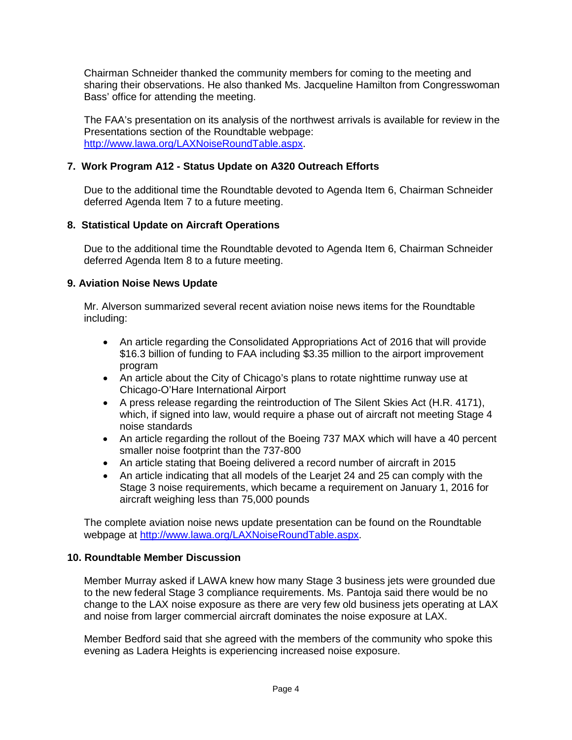Chairman Schneider thanked the community members for coming to the meeting and sharing their observations. He also thanked Ms. Jacqueline Hamilton from Congresswoman Bass' office for attending the meeting.

The FAA's presentation on its analysis of the northwest arrivals is available for review in the Presentations section of the Roundtable webpage: [http://www.lawa.org/LAXNoiseRoundTable.aspx.](http://www.lawa.org/LAXNoiseRoundTable.aspx)

## **7. Work Program A12 - Status Update on A320 Outreach Efforts**

Due to the additional time the Roundtable devoted to Agenda Item 6, Chairman Schneider deferred Agenda Item 7 to a future meeting.

## **8. Statistical Update on Aircraft Operations**

Due to the additional time the Roundtable devoted to Agenda Item 6, Chairman Schneider deferred Agenda Item 8 to a future meeting.

## **9. Aviation Noise News Update**

Mr. Alverson summarized several recent aviation noise news items for the Roundtable including:

- An article regarding the Consolidated Appropriations Act of 2016 that will provide \$16.3 billion of funding to FAA including \$3.35 million to the airport improvement program
- An article about the City of Chicago's plans to rotate nighttime runway use at Chicago-O'Hare International Airport
- A press release regarding the reintroduction of The Silent Skies Act (H.R. 4171), which, if signed into law, would require a phase out of aircraft not meeting Stage 4 noise standards
- An article regarding the rollout of the Boeing 737 MAX which will have a 40 percent smaller noise footprint than the 737-800
- An article stating that Boeing delivered a record number of aircraft in 2015
- An article indicating that all models of the Learjet 24 and 25 can comply with the Stage 3 noise requirements, which became a requirement on January 1, 2016 for aircraft weighing less than 75,000 pounds

The complete aviation noise news update presentation can be found on the Roundtable webpage at [http://www.lawa.org/LAXNoiseRoundTable.aspx.](http://www.lawa.org/LAXNoiseRoundTable.aspx)

## **10. Roundtable Member Discussion**

Member Murray asked if LAWA knew how many Stage 3 business jets were grounded due to the new federal Stage 3 compliance requirements. Ms. Pantoja said there would be no change to the LAX noise exposure as there are very few old business jets operating at LAX and noise from larger commercial aircraft dominates the noise exposure at LAX.

Member Bedford said that she agreed with the members of the community who spoke this evening as Ladera Heights is experiencing increased noise exposure.